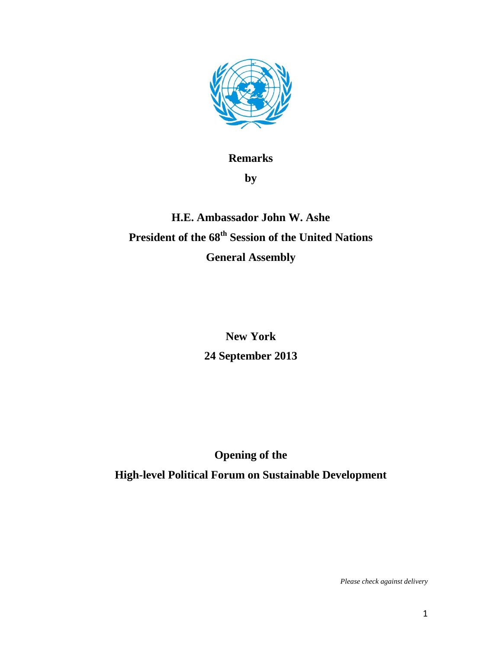

## **Remarks by**

## **H.E. Ambassador John W. Ashe President of the 68th Session of the United Nations General Assembly**

**New York 24 September 2013**

**Opening of the**

**High-level Political Forum on Sustainable Development**

*Please check against delivery*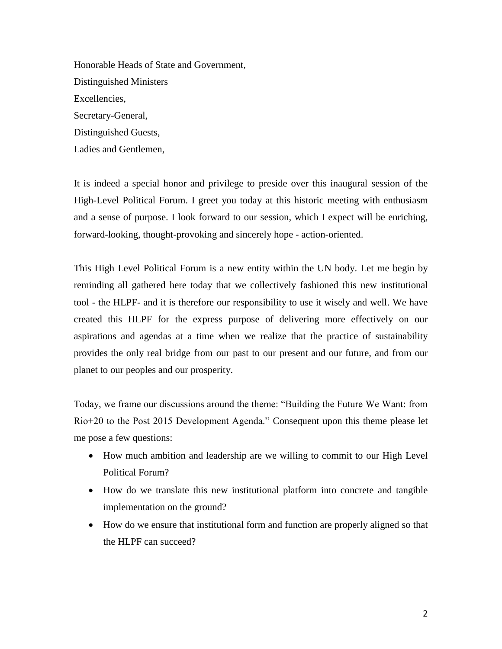Honorable Heads of State and Government, Distinguished Ministers Excellencies, Secretary-General, Distinguished Guests, Ladies and Gentlemen,

It is indeed a special honor and privilege to preside over this inaugural session of the High-Level Political Forum. I greet you today at this historic meeting with enthusiasm and a sense of purpose. I look forward to our session, which I expect will be enriching, forward-looking, thought-provoking and sincerely hope - action-oriented.

This High Level Political Forum is a new entity within the UN body. Let me begin by reminding all gathered here today that we collectively fashioned this new institutional tool - the HLPF- and it is therefore our responsibility to use it wisely and well. We have created this HLPF for the express purpose of delivering more effectively on our aspirations and agendas at a time when we realize that the practice of sustainability provides the only real bridge from our past to our present and our future, and from our planet to our peoples and our prosperity.

Today, we frame our discussions around the theme: "Building the Future We Want: from Rio+20 to the Post 2015 Development Agenda." Consequent upon this theme please let me pose a few questions:

- How much ambition and leadership are we willing to commit to our High Level Political Forum?
- How do we translate this new institutional platform into concrete and tangible implementation on the ground?
- How do we ensure that institutional form and function are properly aligned so that the HLPF can succeed?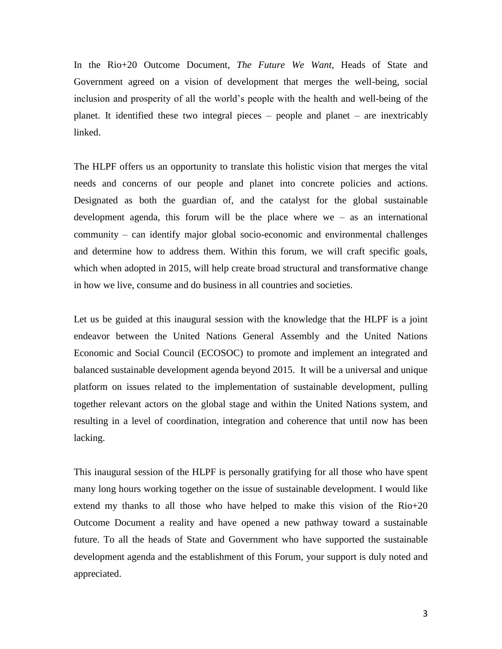In the Rio+20 Outcome Document, *The Future We Want,* Heads of State and Government agreed on a vision of development that merges the well-being, social inclusion and prosperity of all the world's people with the health and well-being of the planet. It identified these two integral pieces – people and planet – are inextricably linked.

The HLPF offers us an opportunity to translate this holistic vision that merges the vital needs and concerns of our people and planet into concrete policies and actions. Designated as both the guardian of, and the catalyst for the global sustainable development agenda, this forum will be the place where we – as an international community – can identify major global socio-economic and environmental challenges and determine how to address them. Within this forum, we will craft specific goals, which when adopted in 2015, will help create broad structural and transformative change in how we live, consume and do business in all countries and societies.

Let us be guided at this inaugural session with the knowledge that the HLPF is a joint endeavor between the United Nations General Assembly and the United Nations Economic and Social Council (ECOSOC) to promote and implement an integrated and balanced sustainable development agenda beyond 2015. It will be a universal and unique platform on issues related to the implementation of sustainable development, pulling together relevant actors on the global stage and within the United Nations system, and resulting in a level of coordination, integration and coherence that until now has been lacking.

This inaugural session of the HLPF is personally gratifying for all those who have spent many long hours working together on the issue of sustainable development. I would like extend my thanks to all those who have helped to make this vision of the Rio+20 Outcome Document a reality and have opened a new pathway toward a sustainable future. To all the heads of State and Government who have supported the sustainable development agenda and the establishment of this Forum, your support is duly noted and appreciated.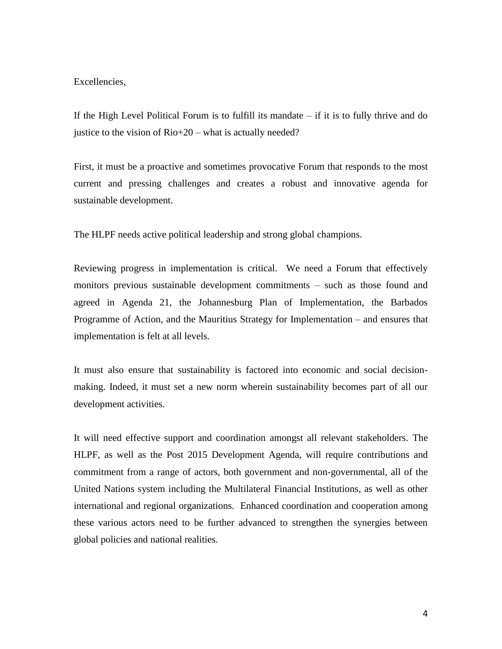Excellencies,

If the High Level Political Forum is to fulfill its mandate – if it is to fully thrive and do justice to the vision of Rio+20 – what is actually needed?

First, it must be a proactive and sometimes provocative Forum that responds to the most current and pressing challenges and creates a robust and innovative agenda for sustainable development.

The HLPF needs active political leadership and strong global champions.

Reviewing progress in implementation is critical. We need a Forum that effectively monitors previous sustainable development commitments – such as those found and agreed in Agenda 21, the Johannesburg Plan of Implementation, the Barbados Programme of Action, and the Mauritius Strategy for Implementation – and ensures that implementation is felt at all levels.

It must also ensure that sustainability is factored into economic and social decisionmaking. Indeed, it must set a new norm wherein sustainability becomes part of all our development activities.

It will need effective support and coordination amongst all relevant stakeholders. The HLPF, as well as the Post 2015 Development Agenda, will require contributions and commitment from a range of actors, both government and non-governmental, all of the United Nations system including the Multilateral Financial Institutions, as well as other international and regional organizations. Enhanced coordination and cooperation among these various actors need to be further advanced to strengthen the synergies between global policies and national realities.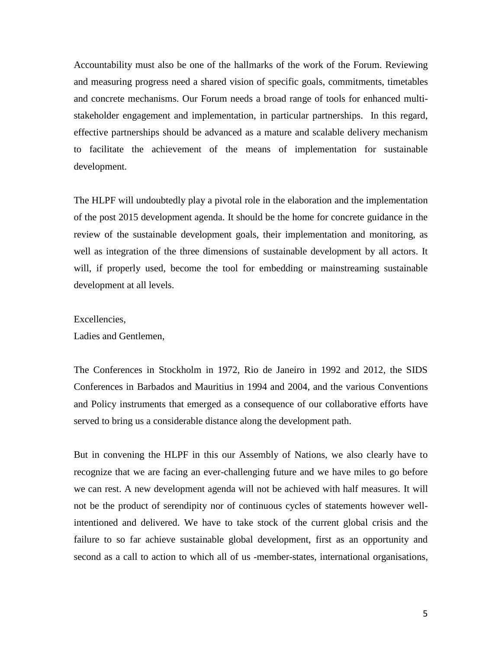Accountability must also be one of the hallmarks of the work of the Forum. Reviewing and measuring progress need a shared vision of specific goals, commitments, timetables and concrete mechanisms. Our Forum needs a broad range of tools for enhanced multistakeholder engagement and implementation, in particular partnerships. In this regard, effective partnerships should be advanced as a mature and scalable delivery mechanism to facilitate the achievement of the means of implementation for sustainable development.

The HLPF will undoubtedly play a pivotal role in the elaboration and the implementation of the post 2015 development agenda. It should be the home for concrete guidance in the review of the sustainable development goals, their implementation and monitoring, as well as integration of the three dimensions of sustainable development by all actors. It will, if properly used, become the tool for embedding or mainstreaming sustainable development at all levels.

## Excellencies,

Ladies and Gentlemen,

The Conferences in Stockholm in 1972, Rio de Janeiro in 1992 and 2012, the SIDS Conferences in Barbados and Mauritius in 1994 and 2004, and the various Conventions and Policy instruments that emerged as a consequence of our collaborative efforts have served to bring us a considerable distance along the development path.

But in convening the HLPF in this our Assembly of Nations, we also clearly have to recognize that we are facing an ever-challenging future and we have miles to go before we can rest. A new development agenda will not be achieved with half measures. It will not be the product of serendipity nor of continuous cycles of statements however wellintentioned and delivered. We have to take stock of the current global crisis and the failure to so far achieve sustainable global development, first as an opportunity and second as a call to action to which all of us -member-states, international organisations,